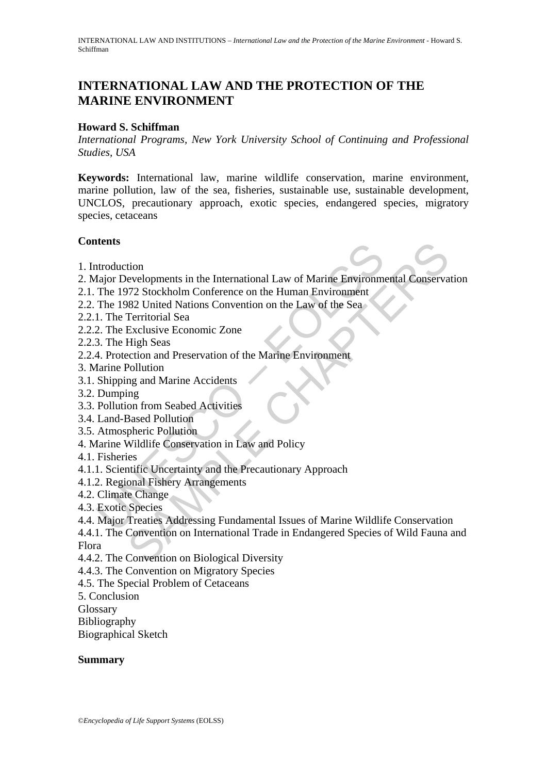# **INTERNATIONAL LAW AND THE PROTECTION OF THE MARINE ENVIRONMENT**

### **Howard S. Schiffman**

*International Programs, New York University School of Continuing and Professional Studies, USA* 

**Keywords:** International law, marine wildlife conservation, marine environment, marine pollution, law of the sea, fisheries, sustainable use, sustainable development, UNCLOS, precautionary approach, exotic species, endangered species, migratory species, cetaceans

### **Contents**

- 1. Introduction
- ntroduction<br>
1ajor Developments in the International Law of Marine Environm<br>
The 1972 Stockholm Conference on the Human Environment<br>
1. The Territorial Sea<br>
1. The Territorial Sea<br>
2. The Exclusive Economic Zone<br>
3. The Hi 2. Major Developments in the International Law of Marine Environmental Conservation
- 2.1. The 1972 Stockholm Conference on the Human Environment
- 2.2. The 1982 United Nations Convention on the Law of the Sea
- 2.2.1. The Territorial Sea
- 2.2.2. The Exclusive Economic Zone
- 2.2.3. The High Seas
- 2.2.4. Protection and Preservation of the Marine Environment
- 3. Marine Pollution
- 3.1. Shipping and Marine Accidents
- 3.2. Dumping
- 3.3. Pollution from Seabed Activities
- 3.4. Land-Based Pollution
- 3.5. Atmospheric Pollution
- 4. Marine Wildlife Conservation in Law and Policy
- 4.1. Fisheries
- 4.1.1. Scientific Uncertainty and the Precautionary Approach
- 4.1.2. Regional Fishery Arrangements
- 4.2. Climate Change
- 4.3. Exotic Species
- 4.4. Major Treaties Addressing Fundamental Issues of Marine Wildlife Conservation
- tion<br>
evelopments in the International Law of Marine Environmental Conserva<br>
772 Stockholm Conference on the Human Environment<br>
Heritorial Sea<br>
Heritorial Sea<br>
Exclusive Economic Zone<br>
High Sea<br>
Exclusive Economic Zone<br>
ex 4.4.1. The Convention on International Trade in Endangered Species of Wild Fauna and Flora
- 4.4.2. The Convention on Biological Diversity
- 4.4.3. The Convention on Migratory Species
- 4.5. The Special Problem of Cetaceans
- 5. Conclusion
- Glossary
- Bibliography
- Biographical Sketch

#### **Summary**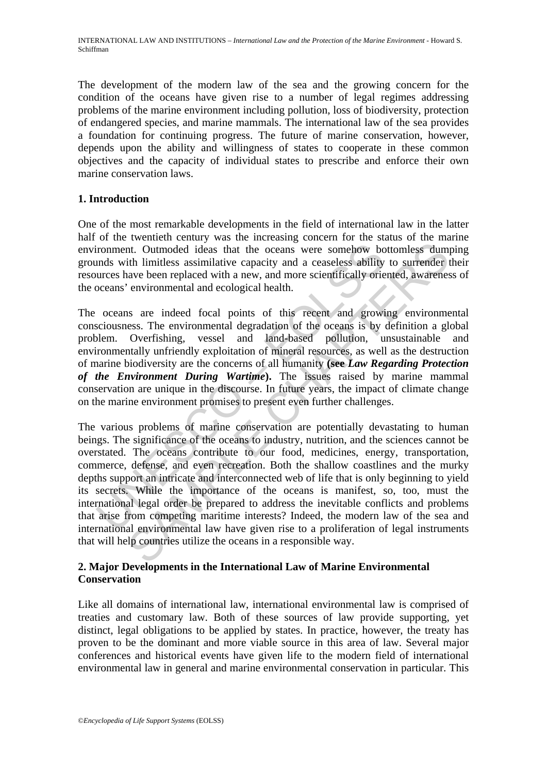The development of the modern law of the sea and the growing concern for the condition of the oceans have given rise to a number of legal regimes addressing problems of the marine environment including pollution, loss of biodiversity, protection of endangered species, and marine mammals. The international law of the sea provides a foundation for continuing progress. The future of marine conservation, however, depends upon the ability and willingness of states to cooperate in these common objectives and the capacity of individual states to prescribe and enforce their own marine conservation laws.

# **1. Introduction**

One of the most remarkable developments in the field of international law in the latter half of the twentieth century was the increasing concern for the status of the marine environment. Outmoded ideas that the oceans were somehow bottomless dumping grounds with limitless assimilative capacity and a ceaseless ability to surrender their resources have been replaced with a new, and more scientifically oriented, awareness of the oceans' environmental and ecological health.

The oceans are indeed focal points of this recent and growing environmental consciousness. The environmental degradation of the oceans is by definition a global problem. Overfishing, vessel and land-based pollution, unsustainable and environmentally unfriendly exploitation of mineral resources, as well as the destruction of marine biodiversity are the concerns of all humanity **(see** *Law Regarding Protection of the Environment During Wartime***).** The issues raised by marine mammal conservation are unique in the discourse. In future years, the impact of climate change on the marine environment promises to present even further challenges.

ironment. Outmoded ideas that the oceans were somehow bot mds with limitless assimilative capacity and a ceaseless ability urrces have been replaced with a new, and more scientifically oriecceans' environmental and ecologi International declinest and moreover somehow bottomies dum<br>th. Outmoded ideas that the oceans were somehow bottomiess dum<br>th limitless assimilative capacity and a ceaseless ability to surrender<br>environmental and ecological The various problems of marine conservation are potentially devastating to human beings. The significance of the oceans to industry, nutrition, and the sciences cannot be overstated. The oceans contribute to our food, medicines, energy, transportation, commerce, defense, and even recreation. Both the shallow coastlines and the murky depths support an intricate and interconnected web of life that is only beginning to yield its secrets. While the importance of the oceans is manifest, so, too, must the international legal order be prepared to address the inevitable conflicts and problems that arise from competing maritime interests? Indeed, the modern law of the sea and international environmental law have given rise to a proliferation of legal instruments that will help countries utilize the oceans in a responsible way.

### **2. Major Developments in the International Law of Marine Environmental Conservation**

Like all domains of international law, international environmental law is comprised of treaties and customary law. Both of these sources of law provide supporting, yet distinct, legal obligations to be applied by states. In practice, however, the treaty has proven to be the dominant and more viable source in this area of law. Several major conferences and historical events have given life to the modern field of international environmental law in general and marine environmental conservation in particular. This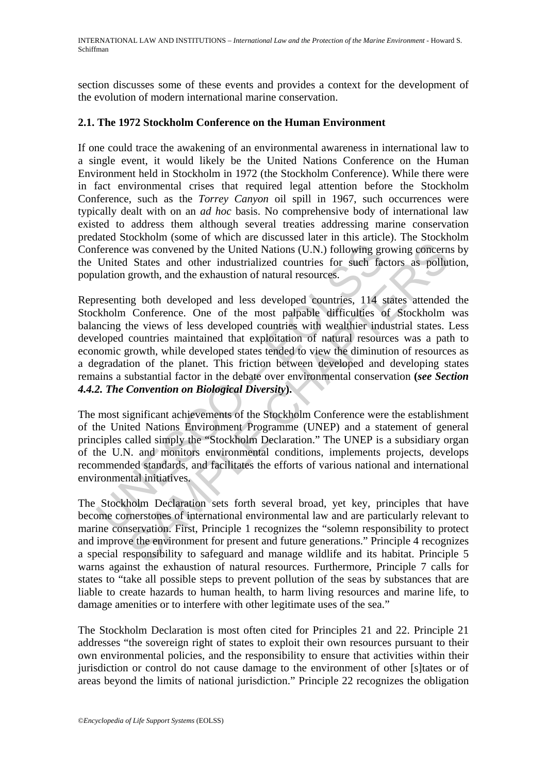section discusses some of these events and provides a context for the development of the evolution of modern international marine conservation.

#### **2.1. The 1972 Stockholm Conference on the Human Environment**

If one could trace the awakening of an environmental awareness in international law to a single event, it would likely be the United Nations Conference on the Human Environment held in Stockholm in 1972 (the Stockholm Conference). While there were in fact environmental crises that required legal attention before the Stockholm Conference, such as the *Torrey Canyon* oil spill in 1967, such occurrences were typically dealt with on an *ad hoc* basis. No comprehensive body of international law existed to address them although several treaties addressing marine conservation predated Stockholm (some of which are discussed later in this article). The Stockholm Conference was convened by the United Nations (U.N.) following growing concerns by the United States and other industrialized countries for such factors as pollution, population growth, and the exhaustion of natural resources.

ference was convened by the United Nations (U.N.) following gr<br>United States and other industrialized countries for such face<br>allation growth, and the exhaustion of natural resources.<br>
resenting both developed and less dev is was convened by the United Nations (U.N.) following growing concerned States and other industrialized countries for such factors as pollut growth, and the exhaustion of natural resources.<br>
In growth, and the exhaustion Representing both developed and less developed countries, 114 states attended the Stockholm Conference. One of the most palpable difficulties of Stockholm was balancing the views of less developed countries with wealthier industrial states. Less developed countries maintained that exploitation of natural resources was a path to economic growth, while developed states tended to view the diminution of resources as a degradation of the planet. This friction between developed and developing states remains a substantial factor in the debate over environmental conservation **(***see Section 4.4.2. The Convention on Biological Diversity***).** 

The most significant achievements of the Stockholm Conference were the establishment of the United Nations Environment Programme (UNEP) and a statement of general principles called simply the "Stockholm Declaration." The UNEP is a subsidiary organ of the U.N. and monitors environmental conditions, implements projects, develops recommended standards, and facilitates the efforts of various national and international environmental initiatives.

The Stockholm Declaration sets forth several broad, yet key, principles that have become cornerstones of international environmental law and are particularly relevant to marine conservation. First, Principle 1 recognizes the "solemn responsibility to protect and improve the environment for present and future generations." Principle 4 recognizes a special responsibility to safeguard and manage wildlife and its habitat. Principle 5 warns against the exhaustion of natural resources. Furthermore, Principle 7 calls for states to "take all possible steps to prevent pollution of the seas by substances that are liable to create hazards to human health, to harm living resources and marine life, to damage amenities or to interfere with other legitimate uses of the sea."

The Stockholm Declaration is most often cited for Principles 21 and 22. Principle 21 addresses "the sovereign right of states to exploit their own resources pursuant to their own environmental policies, and the responsibility to ensure that activities within their jurisdiction or control do not cause damage to the environment of other [s]tates or of areas beyond the limits of national jurisdiction." Principle 22 recognizes the obligation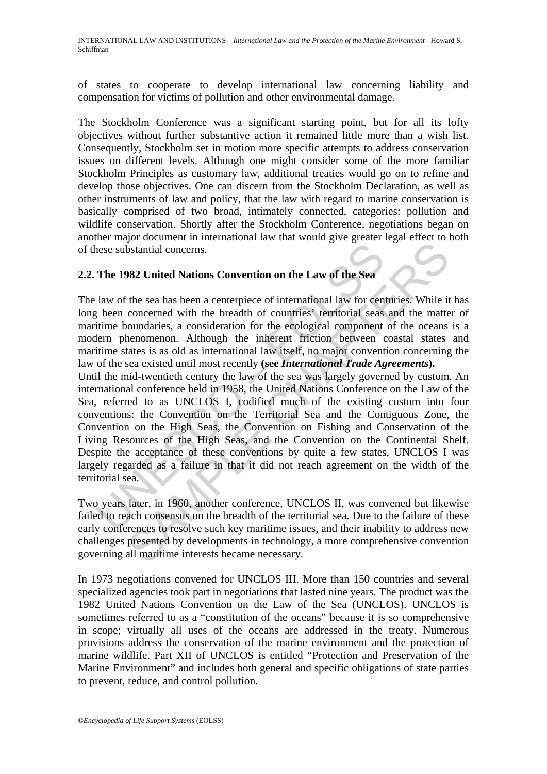of states to cooperate to develop international law concerning liability and compensation for victims of pollution and other environmental damage.

The Stockholm Conference was a significant starting point, but for all its lofty objectives without further substantive action it remained little more than a wish list. Consequently, Stockholm set in motion more specific attempts to address conservation issues on different levels. Although one might consider some of the more familiar Stockholm Principles as customary law, additional treaties would go on to refine and develop those objectives. One can discern from the Stockholm Declaration, as well as other instruments of law and policy, that the law with regard to marine conservation is basically comprised of two broad, intimately connected, categories: pollution and wildlife conservation. Shortly after the Stockholm Conference, negotiations began on another major document in international law that would give greater legal effect to both of these substantial concerns.

# **2.2. The 1982 United Nations Convention on the Law of the Sea**

The law of the sea has been a centerpiece of international law for centuries. While it has long been concerned with the breadth of countries' territorial seas and the matter of maritime boundaries, a consideration for the ecological component of the oceans is a modern phenomenon. Although the inherent friction between coastal states and maritime states is as old as international law itself, no major convention concerning the law of the sea existed until most recently **(see** *International Trade Agreements***).**

nese substantial concerns.<br>
The 1982 United Nations Convention on the Law of the Sea<br>
law of the sea has been a centerpiece of international law for cen<br>
leven been concerned with the breadth of countries' territorial seas **SAMPLE CONTIGE CONTIGE CONTIGE CONTIGE SET AND THE SET AND THE SET AND THE SET AND THE SET AND THE SET AND THE SET AND THE CONTIGES IN THE CONTIGE SET AND A DETERTION IN A HONDICAL SET AND DREVELON SET AND DREVELON CHAPTE** Until the mid-twentieth century the law of the sea was largely governed by custom. An international conference held in 1958, the United Nations Conference on the Law of the Sea, referred to as UNCLOS I, codified much of the existing custom into four conventions: the Convention on the Territorial Sea and the Contiguous Zone, the Convention on the High Seas, the Convention on Fishing and Conservation of the Living Resources of the High Seas, and the Convention on the Continental Shelf. Despite the acceptance of these conventions by quite a few states, UNCLOS I was largely regarded as a failure in that it did not reach agreement on the width of the territorial sea.

Two years later, in 1960, another conference, UNCLOS II, was convened but likewise failed to reach consensus on the breadth of the territorial sea. Due to the failure of these early conferences to resolve such key maritime issues, and their inability to address new challenges presented by developments in technology, a more comprehensive convention governing all maritime interests became necessary.

In 1973 negotiations convened for UNCLOS III. More than 150 countries and several specialized agencies took part in negotiations that lasted nine years. The product was the 1982 United Nations Convention on the Law of the Sea (UNCLOS). UNCLOS is sometimes referred to as a "constitution of the oceans" because it is so comprehensive in scope; virtually all uses of the oceans are addressed in the treaty. Numerous provisions address the conservation of the marine environment and the protection of marine wildlife. Part XII of UNCLOS is entitled "Protection and Preservation of the Marine Environment" and includes both general and specific obligations of state parties to prevent, reduce, and control pollution.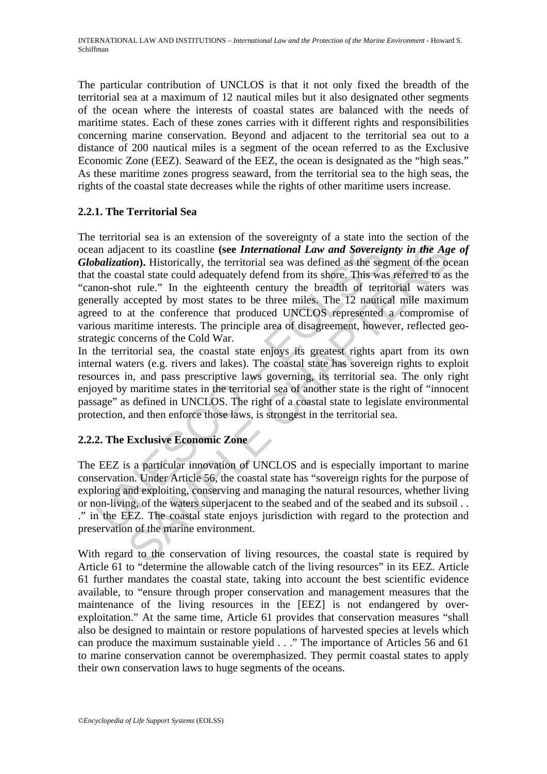The particular contribution of UNCLOS is that it not only fixed the breadth of the territorial sea at a maximum of 12 nautical miles but it also designated other segments of the ocean where the interests of coastal states are balanced with the needs of maritime states. Each of these zones carries with it different rights and responsibilities concerning marine conservation. Beyond and adjacent to the territorial sea out to a distance of 200 nautical miles is a segment of the ocean referred to as the Exclusive Economic Zone (EEZ). Seaward of the EEZ, the ocean is designated as the "high seas." As these maritime zones progress seaward, from the territorial sea to the high seas, the rights of the coastal state decreases while the rights of other maritime users increase.

# **2.2.1. The Territorial Sea**

an adjacent to its coastline (see *International Law and Sovereig* balization). Historically, the territorial sea was defined as the seg the coastal state could adequately defend from its shore. This was considered by mos cent to its coastline (see *International Law and Sovereignty in the Agon*). Historically, the territorial sea was defined as the segment of the overstal state could adequately defend from its shock. This was referred to The territorial sea is an extension of the sovereignty of a state into the section of the ocean adjacent to its coastline **(see** *International Law and Sovereignty in the Age of Globalization***).** Historically, the territorial sea was defined as the segment of the ocean that the coastal state could adequately defend from its shore. This was referred to as the "canon-shot rule." In the eighteenth century the breadth of territorial waters was generally accepted by most states to be three miles. The 12 nautical mile maximum agreed to at the conference that produced UNCLOS represented a compromise of various maritime interests. The principle area of disagreement, however, reflected geostrategic concerns of the Cold War.

In the territorial sea, the coastal state enjoys its greatest rights apart from its own internal waters (e.g. rivers and lakes). The coastal state has sovereign rights to exploit resources in, and pass prescriptive laws governing, its territorial sea. The only right enjoyed by maritime states in the territorial sea of another state is the right of "innocent passage" as defined in UNCLOS. The right of a coastal state to legislate environmental protection, and then enforce those laws, is strongest in the territorial sea.

# **2.2.2. The Exclusive Economic Zone**

The EEZ is a particular innovation of UNCLOS and is especially important to marine conservation. Under Article 56, the coastal state has "sovereign rights for the purpose of exploring and exploiting, conserving and managing the natural resources, whether living or non-living, of the waters superjacent to the seabed and of the seabed and its subsoil . . ." in the EEZ. The coastal state enjoys jurisdiction with regard to the protection and preservation of the marine environment.

With regard to the conservation of living resources, the coastal state is required by Article 61 to "determine the allowable catch of the living resources" in its EEZ. Article 61 further mandates the coastal state, taking into account the best scientific evidence available, to "ensure through proper conservation and management measures that the maintenance of the living resources in the [EEZ] is not endangered by overexploitation." At the same time, Article 61 provides that conservation measures "shall also be designed to maintain or restore populations of harvested species at levels which can produce the maximum sustainable yield . . ." The importance of Articles 56 and 61 to marine conservation cannot be overemphasized. They permit coastal states to apply their own conservation laws to huge segments of the oceans.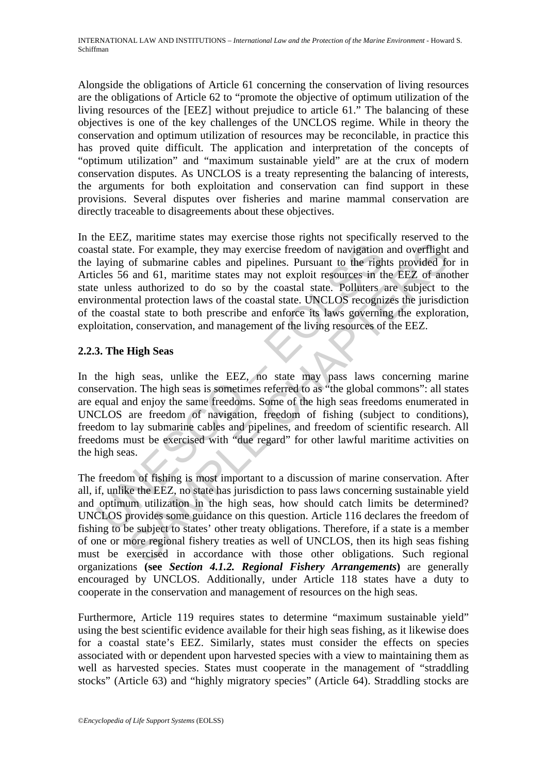Alongside the obligations of Article 61 concerning the conservation of living resources are the obligations of Article 62 to "promote the objective of optimum utilization of the living resources of the [EEZ] without prejudice to article 61." The balancing of these objectives is one of the key challenges of the UNCLOS regime. While in theory the conservation and optimum utilization of resources may be reconcilable, in practice this has proved quite difficult. The application and interpretation of the concepts of "optimum utilization" and "maximum sustainable yield" are at the crux of modern conservation disputes. As UNCLOS is a treaty representing the balancing of interests, the arguments for both exploitation and conservation can find support in these provisions. Several disputes over fisheries and marine mammal conservation are directly traceable to disagreements about these objectives.

stal state. For example, they may exercise freedom of navigation<br>laying of submarine cables and pipelines. Pursuant to the righ<br>cles 56 and 61, maritime states may not exploit resources in the<br>ventomental protection laws o In the EEZ, maritime states may exercise those rights not specifically reserved to the coastal state. For example, they may exercise freedom of navigation and overflight and the laying of submarine cables and pipelines. Pursuant to the rights provided for in Articles 56 and 61, maritime states may not exploit resources in the EEZ of another state unless authorized to do so by the coastal state. Polluters are subject to the environmental protection laws of the coastal state. UNCLOS recognizes the jurisdiction of the coastal state to both prescribe and enforce its laws governing the exploration, exploitation, conservation, and management of the living resources of the EEZ.

# **2.2.3. The High Seas**

In the high seas, unlike the EEZ, no state may pass laws concerning marine conservation. The high seas is sometimes referred to as "the global commons": all states are equal and enjoy the same freedoms. Some of the high seas freedoms enumerated in UNCLOS are freedom of navigation, freedom of fishing (subject to conditions), freedom to lay submarine cables and pipelines, and freedom of scientific research. All freedoms must be exercised with "due regard" for other lawful maritime activities on the high seas.

E. For example, they may exercise freedom of navigation and overflight<br>of submarine cables and pipelines. Pursuant to the rights provided fo<br>s and 61, martime states may not explod resonces in the EEZ of ano<br>s at authorize The freedom of fishing is most important to a discussion of marine conservation. After all, if, unlike the EEZ, no state has jurisdiction to pass laws concerning sustainable yield and optimum utilization in the high seas, how should catch limits be determined? UNCLOS provides some guidance on this question. Article 116 declares the freedom of fishing to be subject to states' other treaty obligations. Therefore, if a state is a member of one or more regional fishery treaties as well of UNCLOS, then its high seas fishing must be exercised in accordance with those other obligations. Such regional organizations **(see** *Section 4.1.2. Regional Fishery Arrangements***)** are generally encouraged by UNCLOS. Additionally, under Article 118 states have a duty to cooperate in the conservation and management of resources on the high seas.

Furthermore, Article 119 requires states to determine "maximum sustainable yield" using the best scientific evidence available for their high seas fishing, as it likewise does for a coastal state's EEZ. Similarly, states must consider the effects on species associated with or dependent upon harvested species with a view to maintaining them as well as harvested species. States must cooperate in the management of "straddling stocks" (Article 63) and "highly migratory species" (Article 64). Straddling stocks are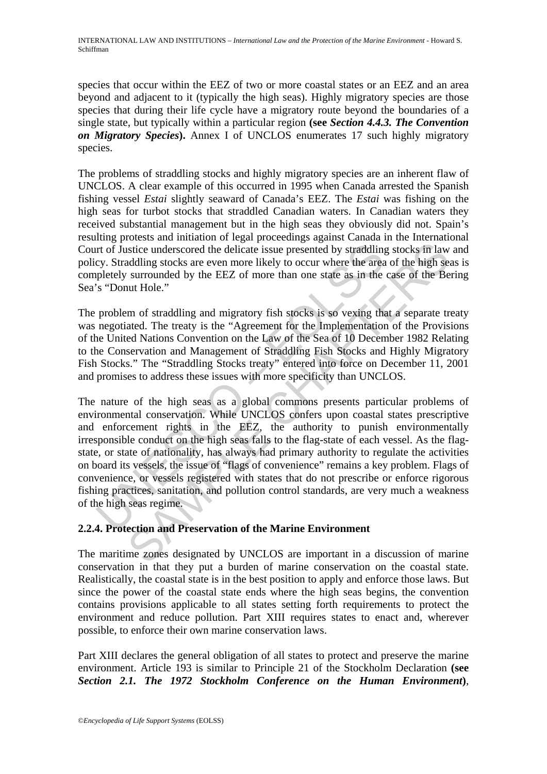species that occur within the EEZ of two or more coastal states or an EEZ and an area beyond and adjacent to it (typically the high seas). Highly migratory species are those species that during their life cycle have a migratory route beyond the boundaries of a single state, but typically within a particular region **(see** *Section 4.4.3. The Convention on Migratory Species***).** Annex I of UNCLOS enumerates 17 such highly migratory species.

The problems of straddling stocks and highly migratory species are an inherent flaw of UNCLOS. A clear example of this occurred in 1995 when Canada arrested the Spanish fishing vessel *Estai* slightly seaward of Canada's EEZ. The *Estai* was fishing on the high seas for turbot stocks that straddled Canadian waters. In Canadian waters they received substantial management but in the high seas they obviously did not. Spain's resulting protests and initiation of legal proceedings against Canada in the International Court of Justice underscored the delicate issue presented by straddling stocks in law and policy. Straddling stocks are even more likely to occur where the area of the high seas is completely surrounded by the EEZ of more than one state as in the case of the Bering Sea's "Donut Hole."

The problem of straddling and migratory fish stocks is so vexing that a separate treaty was negotiated. The treaty is the "Agreement for the Implementation of the Provisions of the United Nations Convention on the Law of the Sea of 10 December 1982 Relating to the Conservation and Management of Straddling Fish Stocks and Highly Migratory Fish Stocks." The "Straddling Stocks treaty" entered into force on December 11, 2001 and promises to address these issues with more specificity than UNCLOS.

It of Justice underscored the delicate issue presented by straddling<br>cy. Straddling stocks are even more likely to occur where the area<br>ppletely surrounded by the EEZ of more than one state as in the<br>s "Donut Hole."<br>proble istice underscored the delicate issue presented by strading stocks in law<br>ddling stocks are even more likely to occur where the area of the high se<br>surrounded by the EEZ of more than one state as in the case of the high se The nature of the high seas as a global commons presents particular problems of environmental conservation. While UNCLOS confers upon coastal states prescriptive and enforcement rights in the EEZ, the authority to punish environmentally irresponsible conduct on the high seas falls to the flag-state of each vessel. As the flagstate, or state of nationality, has always had primary authority to regulate the activities on board its vessels, the issue of "flags of convenience" remains a key problem. Flags of convenience, or vessels registered with states that do not prescribe or enforce rigorous fishing practices, sanitation, and pollution control standards, are very much a weakness of the high seas regime.

# **2.2.4. Protection and Preservation of the Marine Environment**

The maritime zones designated by UNCLOS are important in a discussion of marine conservation in that they put a burden of marine conservation on the coastal state. Realistically, the coastal state is in the best position to apply and enforce those laws. But since the power of the coastal state ends where the high seas begins, the convention contains provisions applicable to all states setting forth requirements to protect the environment and reduce pollution. Part XIII requires states to enact and, wherever possible, to enforce their own marine conservation laws.

Part XIII declares the general obligation of all states to protect and preserve the marine environment. Article 193 is similar to Principle 21 of the Stockholm Declaration **(see**  *Section 2.1. The 1972 Stockholm Conference on the Human Environment***)**,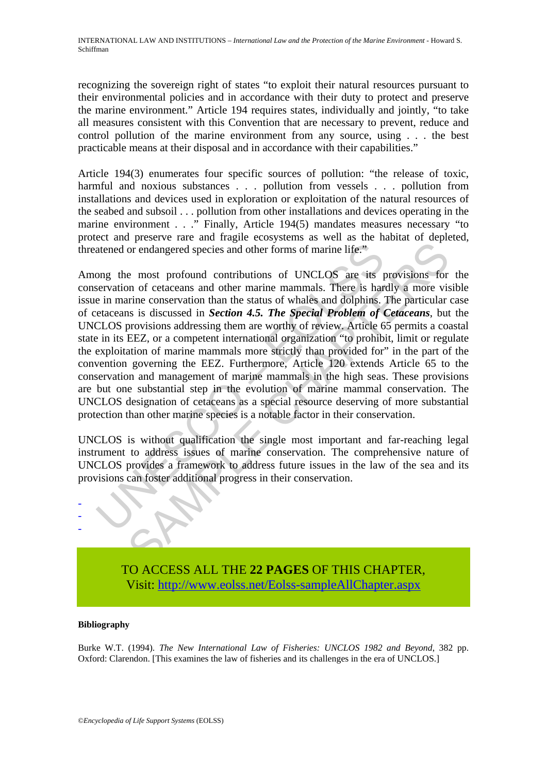recognizing the sovereign right of states "to exploit their natural resources pursuant to their environmental policies and in accordance with their duty to protect and preserve the marine environment." Article 194 requires states, individually and jointly, "to take all measures consistent with this Convention that are necessary to prevent, reduce and control pollution of the marine environment from any source, using . . . the best practicable means at their disposal and in accordance with their capabilities."

Article 194(3) enumerates four specific sources of pollution: "the release of toxic, harmful and noxious substances . . . pollution from vessels . . . pollution from installations and devices used in exploration or exploitation of the natural resources of the seabed and subsoil . . . pollution from other installations and devices operating in the marine environment . . ." Finally, Article 194(5) mandates measures necessary "to protect and preserve rare and fragile ecosystems as well as the habitat of depleted, threatened or endangered species and other forms of marine life."

atened or endangered species and other forms of marine life."<br>
ong the most profound contributions of UNCLOS are its revevation of ectaceans and other marine mammals. There is har<br>
e in marine conservation than the status or endangered species and other forms of marine life."<br>
or endangered species and other forms of marine life."<br>
e most profound contributions of UNCLOS are its provisions for<br>
or or endangered species and other marine mamm Among the most profound contributions of UNCLOS are its provisions for the conservation of cetaceans and other marine mammals. There is hardly a more visible issue in marine conservation than the status of whales and dolphins. The particular case of cetaceans is discussed in *Section 4.5. The Special Problem of Cetaceans*, but the UNCLOS provisions addressing them are worthy of review. Article 65 permits a coastal state in its EEZ, or a competent international organization "to prohibit, limit or regulate the exploitation of marine mammals more strictly than provided for" in the part of the convention governing the EEZ. Furthermore, Article 120 extends Article 65 to the conservation and management of marine mammals in the high seas. These provisions are but one substantial step in the evolution of marine mammal conservation. The UNCLOS designation of cetaceans as a special resource deserving of more substantial protection than other marine species is a notable factor in their conservation.

UNCLOS is without qualification the single most important and far-reaching legal instrument to address issues of marine conservation. The comprehensive nature of UNCLOS provides a framework to address future issues in the law of the sea and its provisions can foster additional progress in their conservation.



TO ACCESS ALL THE **22 PAGES** OF THIS CHAPTER, Visi[t: http://www.eolss.net/Eolss-sampleAllChapter.aspx](https://www.eolss.net/ebooklib/sc_cart.aspx?File=E1-36-02-03)

#### **Bibliography**

Burke W.T. (1994). *The New International Law of Fisheries: UNCLOS 1982 and Beyond*, 382 pp. Oxford: Clarendon. [This examines the law of fisheries and its challenges in the era of UNCLOS.]